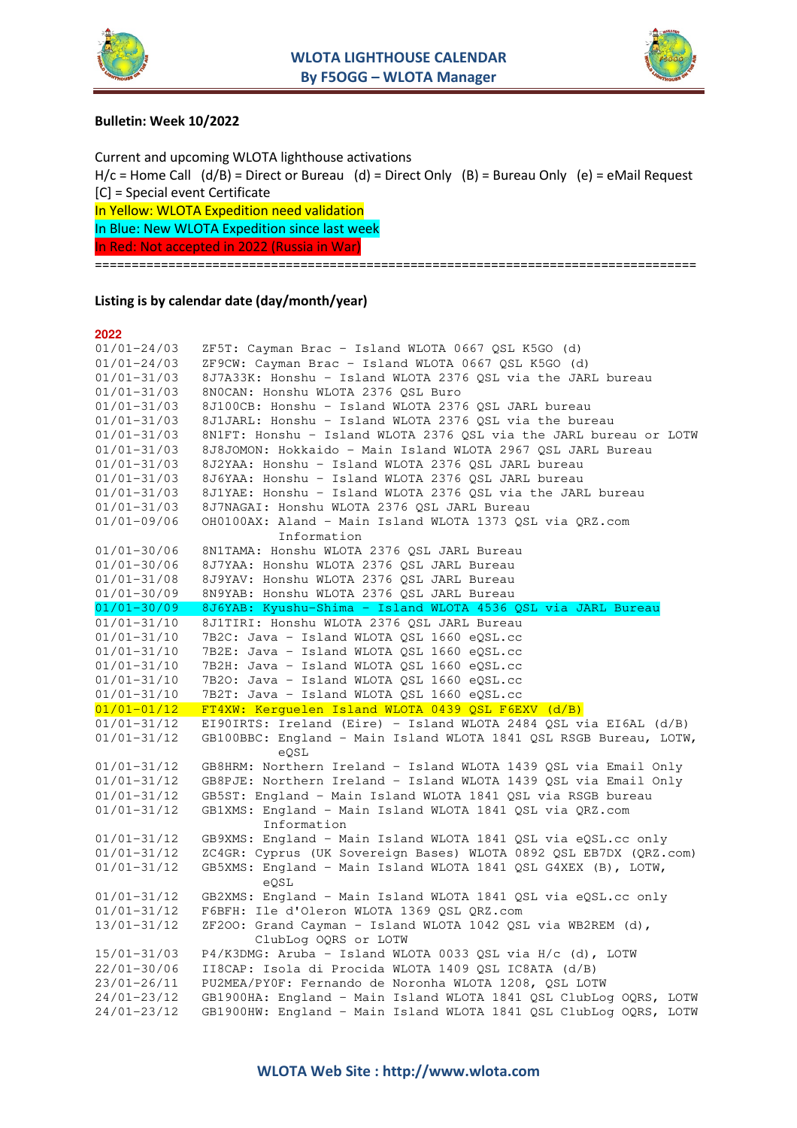



#### **Bulletin: Week 10/2022**

Current and upcoming WLOTA lighthouse activations H/c = Home Call (d/B) = Direct or Bureau (d) = Direct Only (B) = Bureau Only (e) = eMail Request [C] = Special event Certificate In Yellow: WLOTA Expedition need validation In Blue: New WLOTA Expedition since last week In Red: Not accepted in 2022 (Russia in War)

==================================================================================

## **Listing is by calendar date (day/month/year)**

#### **2022**

| $01/01 - 24/03$            | ZF5T: Cayman Brac - Island WLOTA 0667 QSL K5GO (d)                                                                                     |
|----------------------------|----------------------------------------------------------------------------------------------------------------------------------------|
| $01/01 - 24/03$            | ZF9CW: Cayman Brac - Island WLOTA 0667 QSL K5GO (d)                                                                                    |
| $01/01 - 31/03$            | 8J7A33K: Honshu - Island WLOTA 2376 QSL via the JARL bureau                                                                            |
| $01/01 - 31/03$            | 8NOCAN: Honshu WLOTA 2376 QSL Buro                                                                                                     |
| $01/01 - 31/03$            | 8J100CB: Honshu - Island WLOTA 2376 QSL JARL bureau                                                                                    |
| $01/01 - 31/03$            | 8J1JARL: Honshu - Island WLOTA 2376 QSL via the bureau                                                                                 |
| $01/01 - 31/03$            | 8N1FT: Honshu - Island WLOTA 2376 QSL via the JARL bureau or LOTW                                                                      |
| $01/01 - 31/03$            | 8J8JOMON: Hokkaido - Main Island WLOTA 2967 OSL JARL Bureau                                                                            |
| $01/01 - 31/03$            | 8J2YAA: Honshu - Island WLOTA 2376 QSL JARL bureau                                                                                     |
|                            |                                                                                                                                        |
| $01/01 - 31/03$            | 8J6YAA: Honshu - Island WLOTA 2376 QSL JARL bureau                                                                                     |
| $01/01 - 31/03$            | 8J1YAE: Honshu - Island WLOTA 2376 QSL via the JARL bureau                                                                             |
| $01/01 - 31/03$            | 8J7NAGAI: Honshu WLOTA 2376 OSL JARL Bureau                                                                                            |
| 01/01-09/06                | OH0100AX: Aland - Main Island WLOTA 1373 QSL via QRZ.com                                                                               |
|                            | Information                                                                                                                            |
| $01/01 - 30/06$            | 8N1TAMA: Honshu WLOTA 2376 QSL JARL Bureau                                                                                             |
| $01/01 - 30/06$            | 8J7YAA: Honshu WLOTA 2376 QSL JARL Bureau                                                                                              |
| $01/01 - 31/08$            | 8J9YAV: Honshu WLOTA 2376 QSL JARL Bureau                                                                                              |
| $01/01 - 30/09$            | 8N9YAB: Honshu WLOTA 2376 QSL JARL Bureau                                                                                              |
| $01/01 - 30/09$            | 8J6YAB: Kyushu-Shima - Island WLOTA 4536 QSL via JARL Bureau                                                                           |
| 01/01-31/10                | 8J1TIRI: Honshu WLOTA 2376 QSL JARL Bureau                                                                                             |
| $01/01 - 31/10$            | 7B2C: Java - Island WLOTA QSL 1660 eQSL.cc                                                                                             |
| $01/01 - 31/10$            | 7B2E: Java - Island WLOTA QSL 1660 eQSL.cc                                                                                             |
| $01/01 - 31/10$            | 7B2H: Java - Island WLOTA QSL 1660 eQSL.cc                                                                                             |
| $01/01 - 31/10$            | 7B2O: Java - Island WLOTA QSL 1660 eQSL.cc                                                                                             |
| $01/01 - 31/10$            | 7B2T: Java - Island WLOTA QSL 1660 eQSL.cc                                                                                             |
| $01/01 - 01/12$            | FT4XW: Kerguelen Island WLOTA 0439 QSL F6EXV (d/B)                                                                                     |
| 01/01-31/12                | EI90IRTS: Ireland (Eire) - Island WLOTA 2484 QSL via EI6AL (d/B)                                                                       |
| $01/01 - 31/12$            | GB100BBC: England - Main Island WLOTA 1841 QSL RSGB Bureau, LOTW,                                                                      |
|                            | eOSL                                                                                                                                   |
| $01/01 - 31/12$            | GB8HRM: Northern Ireland - Island WLOTA 1439 QSL via Email Only                                                                        |
| $01/01 - 31/12$            | GB8PJE: Northern Ireland - Island WLOTA 1439 QSL via Email Only                                                                        |
| 01/01-31/12                | GB5ST: England - Main Island WLOTA 1841 QSL via RSGB bureau                                                                            |
| $01/01 - 31/12$            | GB1XMS: England - Main Island WLOTA 1841 QSL via QRZ.com                                                                               |
|                            |                                                                                                                                        |
|                            |                                                                                                                                        |
|                            | Information                                                                                                                            |
| $01/01 - 31/12$            | GB9XMS: England - Main Island WLOTA 1841 QSL via eQSL.cc only                                                                          |
| 01/01-31/12                | ZC4GR: Cyprus (UK Sovereign Bases) WLOTA 0892 QSL EB7DX (QRZ.com)                                                                      |
| $01/01 - 31/12$            | GB5XMS: England - Main Island WLOTA 1841 QSL G4XEX (B), LOTW,                                                                          |
|                            | eOSL                                                                                                                                   |
| $01/01 - 31/12$            | GB2XMS: England - Main Island WLOTA 1841 QSL via eQSL.cc only                                                                          |
| $01/01 - 31/12$            | F6BFH: Ile d'Oleron WLOTA 1369 QSL QRZ.com                                                                                             |
| 13/01-31/12                | ZF200: Grand Cayman - Island WLOTA 1042 QSL via WB2REM (d),<br>ClubLog OQRS or LOTW                                                    |
| $15/01 - 31/03$            | P4/K3DMG: Aruba - Island WLOTA 0033 QSL via H/c (d), LOTW                                                                              |
| 22/01-30/06                | II8CAP: Isola di Procida WLOTA 1409 QSL IC8ATA (d/B)                                                                                   |
| 23/01-26/11                | PU2MEA/PY0F: Fernando de Noronha WLOTA 1208, QSL LOTW                                                                                  |
|                            |                                                                                                                                        |
| 24/01-23/12<br>24/01-23/12 | GB1900HA: England - Main Island WLOTA 1841 QSL ClubLog OQRS, LOTW<br>GB1900HW: England - Main Island WLOTA 1841 QSL ClubLog OQRS, LOTW |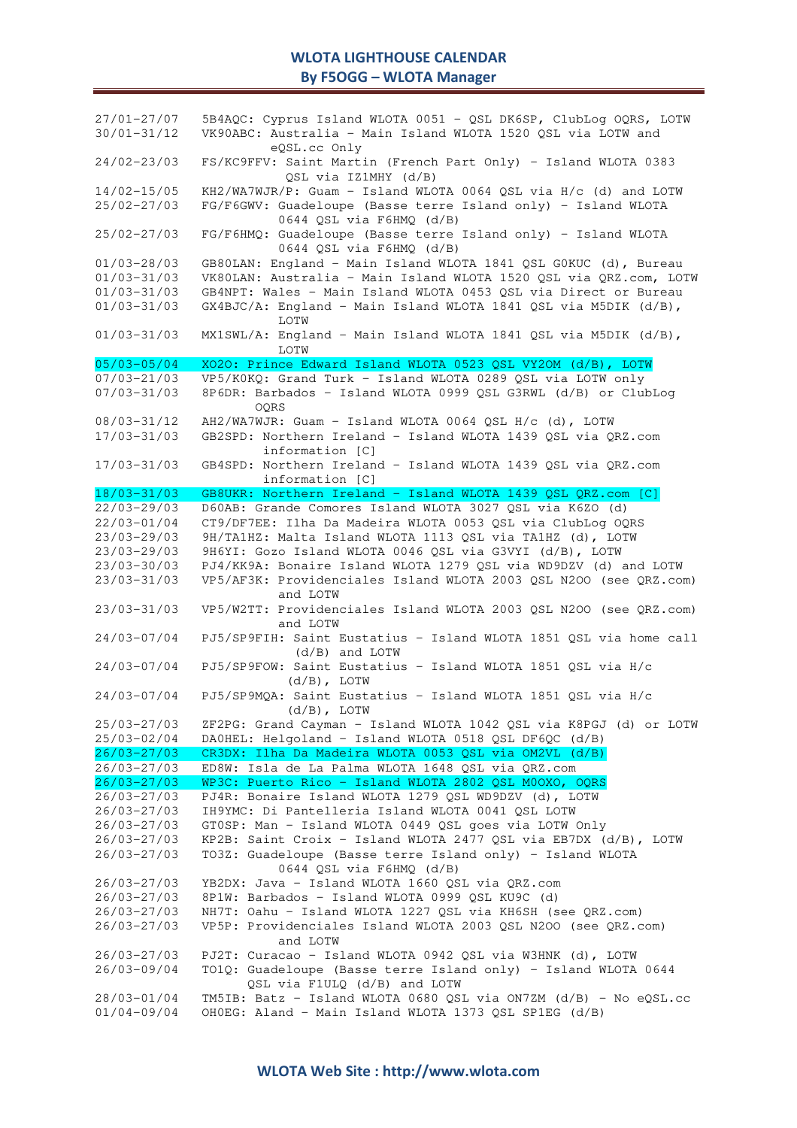# **WLOTA LIGHTHOUSE CALENDAR By F5OGG – WLOTA Manager**

| 27/01-27/07     | 5B4AQC: Cyprus Island WLOTA 0051 - QSL DK6SP, ClubLog OQRS, LOTW                               |
|-----------------|------------------------------------------------------------------------------------------------|
| 30/01-31/12     | VK90ABC: Australia - Main Island WLOTA 1520 QSL via LOTW and<br>eQSL.cc Only                   |
| $24/02 - 23/03$ | FS/KC9FFV: Saint Martin (French Part Only) - Island WLOTA 0383<br>QSL via IZ1MHY (d/B)         |
| 14/02-15/05     | KH2/WA7WJR/P: Guam - Island WLOTA 0064 QSL via H/c (d) and LOTW                                |
| 25/02-27/03     | FG/F6GWV: Guadeloupe (Basse terre Island only) - Island WLOTA<br>0644 QSL via F6HMQ (d/B)      |
| 25/02-27/03     | FG/F6HMQ: Guadeloupe (Basse terre Island only) - Island WLOTA<br>0644 QSL via F6HMQ (d/B)      |
| $01/03 - 28/03$ | GB80LAN: England - Main Island WLOTA 1841 QSL GOKUC (d), Bureau                                |
| $01/03 - 31/03$ | VK80LAN: Australia - Main Island WLOTA 1520 QSL via QRZ.com, LOTW                              |
| $01/03 - 31/03$ | GB4NPT: Wales - Main Island WLOTA 0453 QSL via Direct or Bureau                                |
| $01/03 - 31/03$ | GX4BJC/A: England - Main Island WLOTA 1841 QSL via M5DIK (d/B),<br>LOTW                        |
| $01/03 - 31/03$ | MX1SWL/A: England - Main Island WLOTA 1841 QSL via M5DIK (d/B),<br>LOTW                        |
| $05/03 - 05/04$ | XO2O: Prince Edward Island WLOTA 0523 QSL VY2OM (d/B), LOTW                                    |
| $07/03 - 21/03$ | VP5/KOKQ: Grand Turk - Island WLOTA 0289 QSL via LOTW only                                     |
| $07/03 - 31/03$ | 8P6DR: Barbados - Island WLOTA 0999 QSL G3RWL (d/B) or ClubLog<br><b>OORS</b>                  |
| 08/03-31/12     | AH2/WA7WJR: Guam - Island WLOTA 0064 QSL H/c (d), LOTW                                         |
| 17/03-31/03     | GB2SPD: Northern Ireland - Island WLOTA 1439 QSL via QRZ.com<br>information [C]                |
| 17/03-31/03     | GB4SPD: Northern Ireland - Island WLOTA 1439 QSL via QRZ.com<br>information [C]                |
| $18/03 - 31/03$ | GB8UKR: Northern Ireland - Island WLOTA 1439 QSL QRZ.com [C]                                   |
| $22/03 - 29/03$ | D60AB: Grande Comores Island WLOTA 3027 QSL via K6ZO (d)                                       |
| 22/03-01/04     | CT9/DF7EE: Ilha Da Madeira WLOTA 0053 QSL via ClubLog OQRS                                     |
| 23/03-29/03     | 9H/TA1HZ: Malta Island WLOTA 1113 QSL via TA1HZ (d), LOTW                                      |
| $23/03 - 29/03$ | 9H6YI: Gozo Island WLOTA 0046 QSL via G3VYI (d/B), LOTW                                        |
| 23/03-30/03     | PJ4/KK9A: Bonaire Island WLOTA 1279 QSL via WD9DZV (d) and LOTW                                |
| 23/03-31/03     | VP5/AF3K: Providenciales Island WLOTA 2003 QSL N2OO (see QRZ.com)<br>and LOTW                  |
| 23/03-31/03     | VP5/W2TT: Providenciales Island WLOTA 2003 QSL N2OO (see QRZ.com)<br>and LOTW                  |
| 24/03-07/04     | PJ5/SP9FIH: Saint Eustatius - Island WLOTA 1851 QSL via home call<br>$(d/B)$ and LOTW          |
| 24/03-07/04     | PJ5/SP9FOW: Saint Eustatius - Island WLOTA 1851 QSL via H/c<br>$(d/B)$ , LOTW                  |
| 24/03-07/04     | PJ5/SP9MQA: Saint Eustatius - Island WLOTA 1851 QSL via H/c<br>$(d/B)$ , LOTW                  |
| $25/03 - 27/03$ | ZF2PG: Grand Cayman - Island WLOTA 1042 QSL via K8PGJ (d) or LOTW                              |
| 25/03-02/04     | DAOHEL: Helgoland - Island WLOTA 0518 QSL DF6QC (d/B)                                          |
| $26/03 - 27/03$ | CR3DX: Ilha Da Madeira WLOTA 0053 QSL via OM2VL (d/B)                                          |
| 26/03-27/03     | ED8W: Isla de La Palma WLOTA 1648 QSL via QRZ.com                                              |
| $26/03 - 27/03$ | WP3C: Puerto Rico - Island WLOTA 2802 QSL MOOXO, OQRS                                          |
| 26/03-27/03     | PJ4R: Bonaire Island WLOTA 1279 QSL WD9DZV (d), LOTW                                           |
| 26/03-27/03     | IH9YMC: Di Pantelleria Island WLOTA 0041 OSL LOTW                                              |
| 26/03-27/03     | GTOSP: Man - Island WLOTA 0449 QSL goes via LOTW Only                                          |
| 26/03-27/03     | KP2B: Saint Croix - Island WLOTA 2477 QSL via EB7DX (d/B), LOTW                                |
| 26/03-27/03     | TO3Z: Guadeloupe (Basse terre Island only) - Island WLOTA<br>0644 QSL via F6HMQ (d/B)          |
| 26/03-27/03     | YB2DX: Java - Island WLOTA 1660 QSL via QRZ.com                                                |
| 26/03-27/03     | 8P1W: Barbados - Island WLOTA 0999 QSL KU9C (d)                                                |
| 26/03-27/03     | NH7T: Oahu - Island WLOTA 1227 QSL via KH6SH (see QRZ.com)                                     |
| 26/03-27/03     | VP5P: Providenciales Island WLOTA 2003 QSL N2OO (see QRZ.com)<br>and LOTW                      |
| $26/03 - 27/03$ | PJ2T: Curacao - Island WLOTA 0942 QSL via W3HNK (d), LOTW                                      |
| 26/03-09/04     | TO1Q: Guadeloupe (Basse terre Island only) - Island WLOTA 0644<br>QSL via F1ULQ (d/B) and LOTW |
| 28/03-01/04     | TM5IB: Batz - Island WLOTA 0680 QSL via ON7ZM (d/B) - No eQSL.cc                               |
| $01/04 - 09/04$ | OHOEG: Aland - Main Island WLOTA 1373 QSL SP1EG (d/B)                                          |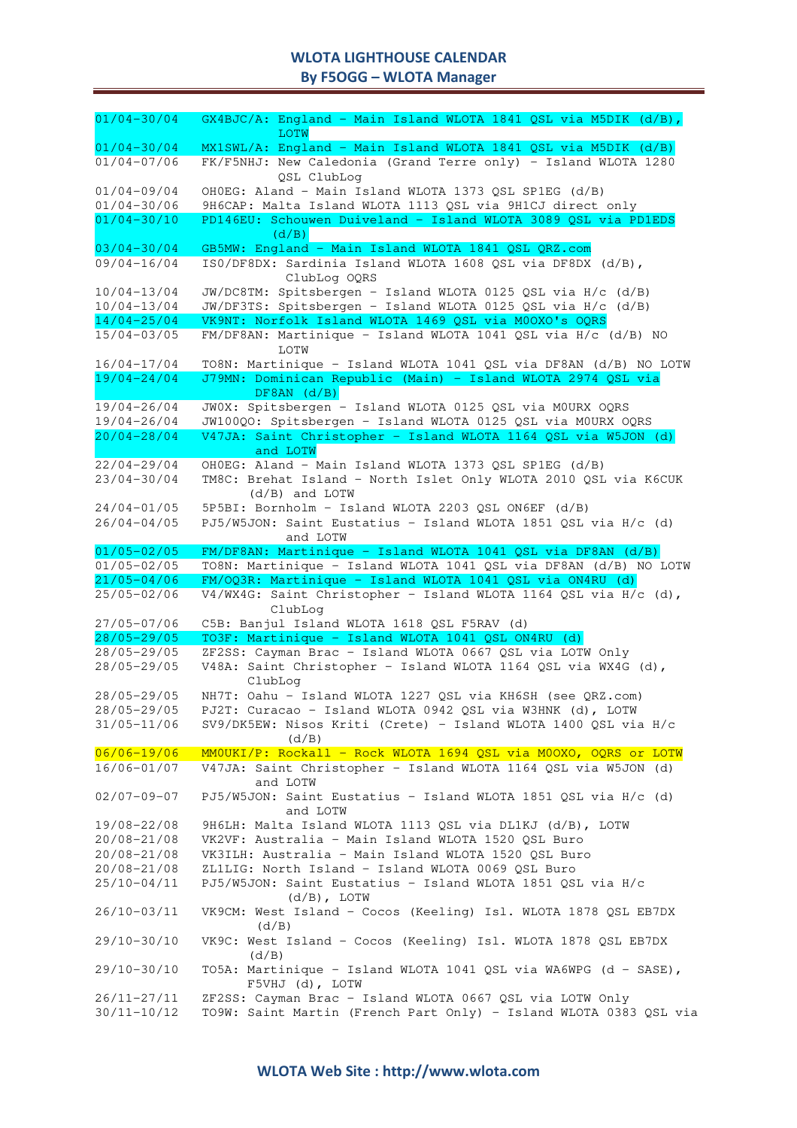# **WLOTA LIGHTHOUSE CALENDAR**

**By F5OGG – WLOTA Manager**

| $01/04 - 30/04$   | $GX4BJC/A$ : England - Main Island WLOTA 1841 QSL via M5DIK (d/B),<br>LOTW         |
|-------------------|------------------------------------------------------------------------------------|
| $01/04 - 30/04$   | MX1SWL/A: England - Main Island WLOTA 1841 QSL via M5DIK (d/B)                     |
| $01/04 - 07/06$   | FK/F5NHJ: New Caledonia (Grand Terre only) - Island WLOTA 1280<br>QSL ClubLog      |
| $01/04 - 09/04$   | OHOEG: Aland - Main Island WLOTA 1373 QSL SP1EG (d/B)                              |
| $01/04 - 30/06$   | 9H6CAP: Malta Island WLOTA 1113 QSL via 9H1CJ direct only                          |
| $01/04 - 30/10$   | PD146EU: Schouwen Duiveland - Island WLOTA 3089 QSL via PD1EDS<br>(d/B)            |
| $03/04 - 30/04$   | GB5MW: England - Main Island WLOTA 1841 QSL QRZ.com                                |
| $09/04 - 16/04$   | ISO/DF8DX: Sardinia Island WLOTA 1608 QSL via DF8DX (d/B),                         |
|                   | ClubLog OQRS                                                                       |
| 10/04-13/04       | JW/DC8TM: Spitsbergen - Island WLOTA 0125 QSL via H/c (d/B)                        |
| 10/04-13/04       | JW/DF3TS: Spitsbergen - Island WLOTA 0125 QSL via H/c (d/B)                        |
| $14/04 - 25/04$   | VK9NT: Norfolk Island WLOTA 1469 QSL via M00XO's OQRS                              |
| $15/04 - 03/05$   | FM/DF8AN: Martinique - Island WLOTA 1041 QSL via H/c (d/B) NO<br>LOTW              |
| 16/04-17/04       | TO8N: Martinique - Island WLOTA 1041 QSL via DF8AN (d/B) NO LOTW                   |
| $19/04 - 24/04$   | J79MN: Dominican Republic (Main) - Island WLOTA 2974 QSL via                       |
|                   | DF8AN (d/B)                                                                        |
| 19/04-26/04       | JWOX: Spitsbergen - Island WLOTA 0125 QSL via MOURX OQRS                           |
| 19/04-26/04       | JW100QO: Spitsbergen - Island WLOTA 0125 QSL via MOURX OQRS                        |
| $20/04 - 28/04$   | V47JA: Saint Christopher - Island WLOTA 1164 QSL via W5JON (d)                     |
|                   | and LOTW                                                                           |
| $22/04 - 29/04$   | OHOEG: Aland - Main Island WLOTA 1373 QSL SP1EG (d/B)                              |
|                   |                                                                                    |
| $23/04 - 30/04$   | TM8C: Brehat Island - North Islet Only WLOTA 2010 QSL via K6CUK                    |
|                   | $(d/B)$ and LOTW                                                                   |
| $24/04 - 01/05$   | 5P5BI: Bornholm - Island WLOTA 2203 QSL ON6EF (d/B)                                |
| $26/04 - 04/05$   | PJ5/W5JON: Saint Eustatius - Island WLOTA 1851 QSL via H/c (d)                     |
|                   | and LOTW                                                                           |
| $01/05 - 02/05$   | FM/DF8AN: Martinique - Island WLOTA 1041 QSL via DF8AN (d/B)                       |
| $01/05 - 02/05$   | TO8N: Martinique - Island WLOTA 1041 QSL via DF8AN (d/B) NO LOTW                   |
| $21/05 - 04/06$   | FM/OQ3R: Martinique - Island WLOTA 1041 QSL via ON4RU (d)                          |
| $25/05 - 02/06$   | V4/WX4G: Saint Christopher - Island WLOTA 1164 QSL via H/c (d),<br>ClubLog         |
| 27/05-07/06       | C5B: Banjul Island WLOTA 1618 QSL F5RAV (d)                                        |
| $28/05 - 29/05$   | TO3F: Martinique - Island WLOTA 1041 QSL ON4RU (d)                                 |
| 28/05-29/05       | ZF2SS: Cayman Brac - Island WLOTA 0667 QSL via LOTW Only                           |
| 28/05-29/05       | V48A: Saint Christopher - Island WLOTA 1164 QSL via WX4G (d),<br>ClubLog           |
| 28/05-29/05       | NH7T: Oahu - Island WLOTA 1227 QSL via KH6SH (see QRZ.com)                         |
| 28/05-29/05       | PJ2T: Curacao - Island WLOTA 0942 QSL via W3HNK (d), LOTW                          |
| 31/05-11/06       | SV9/DK5EW: Nisos Kriti (Crete) - Island WLOTA 1400 QSL via H/c                     |
|                   | (d/B)                                                                              |
| $06/06 - 19/06$   | MMOUKI/P: Rockall - Rock WLOTA 1694 QSL via MOOXO, OQRS or LOTW                    |
| 16/06-01/07       | V47JA: Saint Christopher - Island WLOTA 1164 QSL via W5JON (d)<br>and LOTW         |
| $02/07 - 09 - 07$ | PJ5/W5JON: Saint Eustatius - Island WLOTA 1851 QSL via H/c (d)<br>and LOTW         |
| 19/08-22/08       | 9H6LH: Malta Island WLOTA 1113 QSL via DL1KJ (d/B), LOTW                           |
| 20/08-21/08       | VK2VF: Australia - Main Island WLOTA 1520 QSL Buro                                 |
| 20/08-21/08       | VK3ILH: Australia - Main Island WLOTA 1520 QSL Buro                                |
| 20/08-21/08       | ZL1LIG: North Island - Island WLOTA 0069 QSL Buro                                  |
| $25/10 - 04/11$   | PJ5/W5JON: Saint Eustatius - Island WLOTA 1851 QSL via H/c                         |
|                   | $(d/B)$ , LOTW                                                                     |
| 26/10-03/11       | VK9CM: West Island - Cocos (Keeling) Isl. WLOTA 1878 QSL EB7DX<br>(d/B)            |
| $29/10 - 30/10$   | VK9C: West Island - Cocos (Keeling) Isl. WLOTA 1878 QSL EB7DX<br>(d/B)             |
| 29/10-30/10       | TO5A: Martinique - Island WLOTA 1041 QSL via WA6WPG (d - SASE),<br>F5VHJ (d), LOTW |
| 26/11-27/11       | ZF2SS: Cayman Brac - Island WLOTA 0667 QSL via LOTW Only                           |
| $30/11 - 10/12$   | TO9W: Saint Martin (French Part Only) - Island WLOTA 0383 QSL via                  |